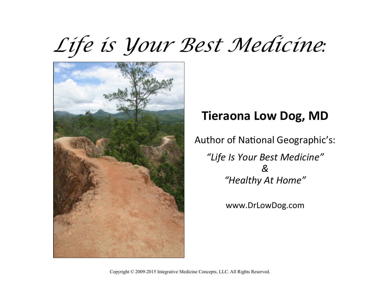# Life is *Your Best Medicine:*



## **Tieraona Low Dog, MD**

Author of National Geographic's:

*"Life Is Your Best Medicine" & "Healthy At Home"* 

www.DrLowDog.com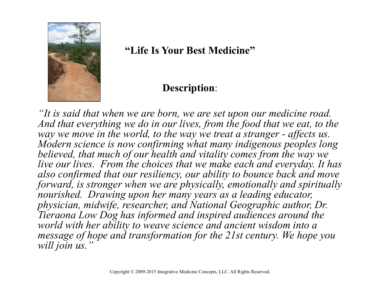

#### **"Life Is Your Best Medicine"**

#### **Description**:

*"It is said that when we are born, we are set upon our medicine road.*  And that everything we do in our lives, from the food that we eat, to the *way we move in the world, to the way we treat a stranger - affects us. Modern science is now confirming what many indigenous peoples long believed, that much of our health and vitality comes from the way we live our lives. From the choices that we make each and everyday. It has also confirmed that our resiliency, our ability to bounce back and move forward, is stronger when we are physically, emotionally and spiritually nourished. Drawing upon her many years as a leading educator, physician, midwife, researcher, and National Geographic author, Dr. Tieraona Low Dog has informed and inspired audiences around the world with her ability to weave science and ancient wisdom into a message of hope and transformation for the 21st century. We hope you will join us."*